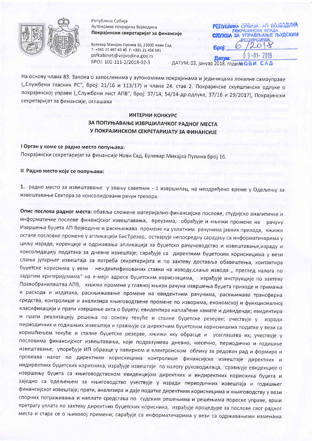

Република Србија Аутономна покрајина Војводина Покрајински секретаријат за финансије

Булевар Михајла Пупина 16, 21000 Нови Сад T: +381 21 487 43 45 F: +381 21 456 581 psfkabinet@vojvodina.gov.rs EPOJ: 102-111-2/2018-02-3

**PETYEJIAKA CPE**MJA - AN BOJBOAMHA ПОКРАЈИНСКА ВЛАДА ЗА УПРАВЉАЊЕ ЉУДСКИМ PECYPCUMA

ДАТУМ: 03. јануар 2018. године С В. И

На основу члана 83. Закона о запосленима у аутономним покрајинама и јединицама локалне самоуправе ("Службени гласник РС", број: 21/16 и 113/17) и члана 24. став 2. Покрајинске скупштинске одлуке о покрајинској управи ("Службени лист АПВ", број: 37/14, 54/14-др.одлука, 37/16 и 29/2017), Покрајински секретаријат за финансије, оглашава

### ИНТЕРНИ КОНКУРС ЗА ПОПУЊАВАЊЕ ИЗВРШИЛАЧКОГ РАДНОГ МЕСТА У ПОКРАЈИНСКОМ СЕКРЕТАРИЈАТУ ЗА ФИНАНСИЈЕ

## I Орган у коме се радно место попуњава: Покрајински секретаријат за финансије Нови Сад, Булевар Михајла Пупина број 16.

### II Радно место које се попуњава:

1. радно место за извештавање у звању саветник - 1 извршилац, на неодређено време у Одељењу за извештавање Сектора за консолидовани рачун трезора.

Опис послова радног места: обавља сложене материјално-финансијске послове, студијско аналитичке и информатичке послове финансјског извештавања, преузима, обрађује и књижи промене на рачуну Извршења буџета АП Војводине и раскњижава промене на уплатним рачунима јавних прихода, књижи остале пословне промене у апликацији БисТрезор, остварује непосредну сарадњу са информатичарима у циљу израде, корекције и одржавања апликација за буџетско рачуноводство и извештавање,израду и консолидацију података за дневне извештаје; сарађује са директним буџетским корисницима у вези слања јутарњег извештаја за потреба секретаријата и по захтеву доставља обавештења, контактира буџетске корисника у вези неидентификованих ставки на изводу,слање извода "преглед налога по задатим критеријумима" на е-мејл адресе буџетским корисницима, израђује инструкције по захтеву Правобранилаштва АПВ, књижи промене у главној књизи рачуна извршења буџета приходе и примања и расхода и издатака, раскњижавање промене на евидентним рачунима, раскњижава трансферна средства, контролише и анализира књиговодтвене промене по изворима, економској и функционалној класификацији и прати извршење акта о буџету; евидентира наплаћене камате и дивиденде; евидентира и прати реализацију решења по основу текуће и сталне буџетске резерве; учествује у изради периодичних и годишњих извештаја и сравњује са директним буџетским корисницима податке у вези са коришћењем текуће и сталне буџетске резерве, књижи кку обрасце и усаглашава их; учествује у пословима финансијског извештавања, које подразумева дневно, месечно, периодично и годишње извештавање; упоређује ИП образце у папирном и електронском облику за редован рад и формира и провеава налог по директним корисницима контролише финансијске извештаје директних и индиректних буџетских корисника, израђује извештаје по налогу руководилаца, сравњује евиденције о извршењу буџета са књиговодственом евиденцијом директних и индиректних корисника буџета и заједно са одељењем за књиговодство учествује у изради периодичних извештаја и годишњег финансијског извештаја; прати, анализира и даје податке директним корисницима и књиговодству у вези спорних потраживања и наплате средстава по судским решењима и решењима пореске управе, врши претрагу уплата по захтеву директних буџетских корисника, израђује процедуре за послове свог радног места и стара се о њиховој примени; сарађује са информатичарима у вези са одржавањеми изменама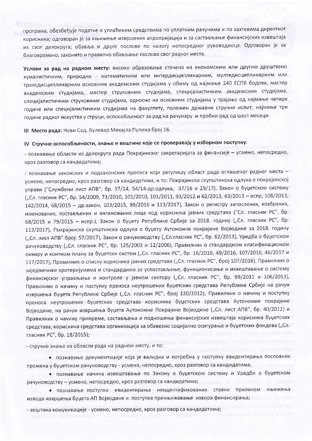програма, обезбеђује податке о уплаћеним средствима по уплатним рачунима и по захтевима директног корисника; одговоран је за књижење извршених апропријација и за састављање финансијских извештаја из свог делокруга; обавља и друге послове по налогу непосредног руководиоца. Одговоран је за благовремено, законито и правилно обављање послова свог радног места.

Услови за рад на радном месту: високо образовање стечено на економским или другим друштвено хуманистичким, природно - математичким или интердисциплинарним, мултидисциплинарним или трансдисциплинарним основним академским студијама у обиму од најмање 240 ЕСПБ бодова, мастер академским студијама, мастер струковним студијама, специјалистичким академским студијама, специјалистичким струковним студијама, односно на основним студијама у трајању од најмање четири године или специјалистичким студијама на факултету, положен државни стручни испит, најмање три године радног искуства у струци, оспособљеност за рад на рачунару и пробни рад од шест месеци.

III Место рада: Нови Сад, Булевар Михајла Пупина број 16.

### IV Стручне оспособљености, знање и вештине које се проверавају у изборном поступку:

- познавање области из делокруга рада Покрајинског секретаријата за финансије - усмено, непосредно, кроз разговор са кандидатима;

- познавање законских и подзаконских прописа који регулишу област рада оглашеног радног места усмено, непосредно, кроз разговор са кандидатима, и то: Покрајинска скупштинска одлука о покрајинској управи ("Службени лист АПВ", бр. 37/14, 54/14-др.одлука, 37/16 и 29/17), Закон о буџетском систему ("Сл. гласник РС", бр. 54/2009, 73/2010, 101/2010, 101/2011, 93/2012 и 62/2013, 63/2013 - испр, 108/2013, 142/2014, 68/2015 - др.закон, 103/2015, 99/2016 и 113/2017), Закон о регистру запослених, изабраних, именованих, постављених и ангажованих лица код корисника јавних средстава ("Сл. гласник РС", бр. 68/2015 и 79/2015 - испр.), Закон о буџету Републике Србије за 2018. годину ("Сл. гласник РС", бр. 113/2017), Покрајинска скупштинска одлука о буџету Аутономне покрајине Војводине за 2018. годину ("Сл. лист АПВ" број: 57/2017), Закон о рачуноводству ("Сл.гласник РС", бр. 62/2013), Уредба о буџетском рачуноводству ("Сл. гласник РС", бр. 125/2003 и 12/2006), Правилник о стандардном класификационом оквиру и контном плану за буџетски систем ("Сл. гласник РС", бр. 16/2016, 49/2016, 107/2016, 46/2017 и 117/2017), Правилник о списку корисника јавних средстава ("Сл. гласник РС", број 107/2016), Правилник о заједничким критеријумима и стандардима за успостављање, функционисање и извештавање о систему финансијског управљања и контроле у јавном сектору ("Сл. гласник РС", бр. 99/2011 и 106/2013), Правилник о начину и поступку преноса неутрошених буџетских средстава Републике Србије на рачун извршења буџета Републике Србије ("Сл. гласник РС", број 120/2012), Правилник о начину и поступку преноса неутрошених буџетских средстава корисника буџетских средстава Аутономне покрајине Војводине, на рачун извршења буџета Аутономне Покрајине Војводине ("Сл. лист АПВ", бр. 40/2012) и Правилник о начину припреме, састављања и подношења финансијских извештаја корисника буџетских средстава, корисника средстава организација за обавезно социјално осигурање и буџетских фондова ("Сл. гласник РС", бр. 18/2015);

- стручно знање из области рада на радном месту, и то:

• познавање документације која је валидна и потребна у поступку евидентирања пословних промена у буџетском рачуноводству - усмено, непосредно, кроз разговор са кандидатима;

• познавање начина извештавања по Закону о буџетском систему и Уредби о буџетском рачуноводству - усмено, непосредно, кроз разговор са кандидатима;

• познавање поступка евидентирања неидентификованих ставки приликом књижења извода извршења буџета АП Војводине и поступка прекњижавање извора финансирања;

- вештина комуникације - усмено, непосредно, кроз разговор са кандидатима;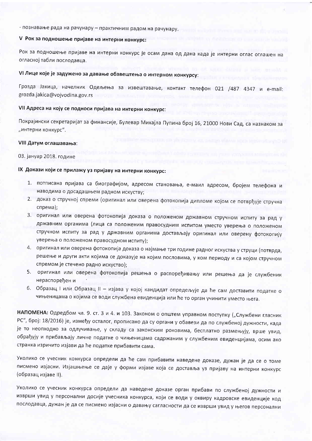- познавање рада на рачунару - практичним радом на рачунару.

### V Рок за подношење пријаве на интерни конкурс:

Рок за подношење пријаве на интерни конкурс је осам дана од дана када је интерни оглас оглашен на огласној табли послодавца.

# VI Лице које је задужено за давање обавештења о интерном конкурсу:

Грозда Јакица, начелник Одељења за извештавање, контакт телефон 021 /487 4347 и e-mail: grozda.jakica@vojvodina.gov.rs

### VII Адреса на коју се подноси пријава на интерни конкурс:

Покрајински секретаријат за финансије, Булевар Михајла Пупина број 16, 21000 Нови Сад, са назнаком за "интерни конкурс".

#### VIII Датум оглашавања:

#### 03. јануар 2018. године

### IX Докази који се прилажу уз пријаву на интерни конкурс:

- 1. потписана пријава са биографијом, адресом становања, е-маил адресом, бројем телефона и наводима о досадашњем радном искуству;
- 2. доказ о стручној спреми (оригинал или оверена фотокопија дипломе којом се потврђује стручна спрема):
- 3. оригинал или оверена фотокопија доказа о положеном државном стручном испиту за рад у државним органима (лица са положеним правосудним испитом уместо уверења о положеном стручном испиту за рад у државним органима достављају оригинал или оверену фотокопију уверења о положеном правосудном испиту);
- 4. оригинал или оверена фотокопија доказа о најмање три године радног искуства у струци (потврда, решење и други акти којима се доказује на којим пословима, у ком периоду и са којом стручном спремом је стечено радно искуство);
- 5. оригинал или оверена фотокопија решења о распоређивању или решења да је службеник нераспоређен и
- 6. Образац I или Образац II изјава у којој кандидат опредељује да ће сам доставити податке о чињеницама о којима се води службена евиденција или ће то орган учинити уместо њега.

НАПОМЕНА: Одредбом чл. 9. ст. 3 и 4. и 103. Законом о општем управном поступку ("Службени гласник РС", број: 18/2016) је, између осталог, прописано да су органи у обавези да по службеној дужности, када је то неопходно за одлучивање, у складу са законским роковима, бесплатно размењују, врше увид, обрађују и прибављају личне податке о чињеницама садржаним у службеним евиденцијама, осим ако странка изричито изјави да ће податке прибавити сама.

Уколико се учесник конкурса определи да ће сам прибавити наведене доказе, дужан је да се о томе писмено изјасни. Изјашњење се даје у форми изјаве која се доставља уз пријаву на интерни конкурс (образац изјаве II).

Уколико се учесник конкурса определи да наведене доказе орган прибави по службеној дужности и изврши увид у персонални досије учесника конкурса, који се води у оквиру кадровске евиденције код послодавца, дужан је да се писмено изјасни о давању сагласности да се изврши увид у његов персонални